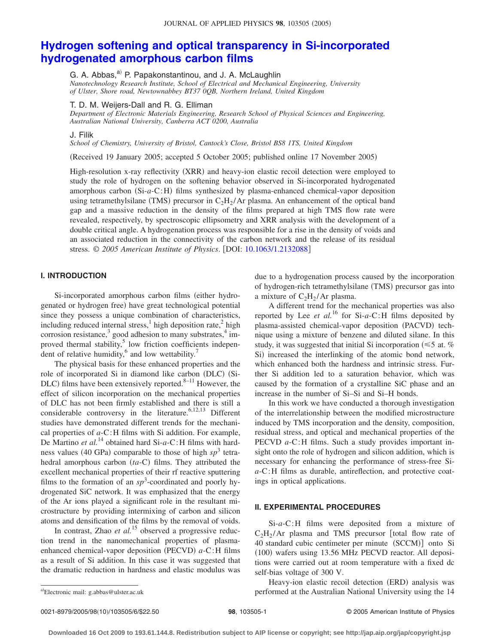# **[Hydrogen softening and optical transparency in Si-incorporated](http://dx.doi.org/10.1063/1.2132088) [hydrogenated amorphous carbon films](http://dx.doi.org/10.1063/1.2132088)**

G. A. Abbas,<sup>a)</sup> P. Papakonstantinou, and J. A. McLaughlin

*Nanotechnology Research Institute, School of Electrical and Mechanical Engineering, University of Ulster, Shore road, Newtownabbey BT37 0QB, Northern Ireland, United Kingdom*

T. D. M. Weijers-Dall and R. G. Elliman

*Department of Electronic Materials Engineering, Research School of Physical Sciences and Engineering, Australian National University, Canberra ACT 0200, Australia*

J. Filik

*School of Chemistry, University of Bristol, Cantock's Close, Bristol BS8 1TS, United Kingdom*

(Received 19 January 2005; accepted 5 October 2005; published online 17 November 2005)

High-resolution x-ray reflectivity (XRR) and heavy-ion elastic recoil detection were employed to study the role of hydrogen on the softening behavior observed in Si-incorporated hydrogenated amorphous carbon (Si-a-C:H) films synthesized by plasma-enhanced chemical-vapor deposition using tetramethylsilane (TMS) precursor in  $C_2H_2/Ar$  plasma. An enhancement of the optical band gap and a massive reduction in the density of the films prepared at high TMS flow rate were revealed, respectively, by spectroscopic ellipsometry and XRR analysis with the development of a double critical angle. A hydrogenation process was responsible for a rise in the density of voids and an associated reduction in the connectivity of the carbon network and the release of its residual stress. © 2005 American Institute of Physics. [DOI: [10.1063/1.2132088](http://dx.doi.org/10.1063/1.2132088)]

## **I. INTRODUCTION**

Si-incorporated amorphous carbon films (either hydrogenated or hydrogen free) have great technological potential since they possess a unique combination of characteristics, including reduced internal stress,<sup>1</sup> high deposition rate,<sup>2</sup> high corrosion resistance, $3 \text{ good adhesion to many substrates}, 4 \text{ im-}$ proved thermal stability, $5$  low friction coefficients independent of relative humidity, $6$  and low wettability.<sup>7</sup>

The physical basis for these enhanced properties and the role of incorporated Si in diamond like carbon (DLC) (Si-DLC) films have been extensively reported. $8-11$  However, the effect of silicon incorporation on the mechanical properties of DLC has not been firmly established and there is still a considerable controversy in the literature.<sup>6,12,13</sup> Different studies have demonstrated different trends for the mechanical properties of *a*-C:H films with Si addition. For example, De Martino *et al.*<sup>14</sup> obtained hard Si-*a*-C:H films with hardness values (40 GPa) comparable to those of high  $sp<sup>3</sup>$  tetrahedral amorphous carbon (ta-C) films. They attributed the excellent mechanical properties of their rf reactive sputtering films to the formation of an  $sp^3$ -coordinated and poorly hydrogenated SiC network. It was emphasized that the energy of the Ar ions played a significant role in the resultant microstructure by providing intermixing of carbon and silicon atoms and densification of the films by the removal of voids.

In contrast, Zhao *et al.*<sup>15</sup> observed a progressive reduction trend in the nanomechanical properties of plasmaenhanced chemical-vapor deposition (PECVD) a-C:H films as a result of Si addition. In this case it was suggested that the dramatic reduction in hardness and elastic modulus was due to a hydrogenation process caused by the incorporation of hydrogen-rich tetramethylsilane (TMS) precursor gas into a mixture of  $C_2H_2/Ar$  plasma.

A different trend for the mechanical properties was also reported by Lee *et al.*<sup>16</sup> for Si-*a*-C:H films deposited by plasma-assisted chemical-vapor deposition (PACVD) technique using a mixture of benzene and diluted silane. In this study, it was suggested that initial Si incorporation  $(\leq 5$  at. % Si) increased the interlinking of the atomic bond network, which enhanced both the hardness and intrinsic stress. Further Si addition led to a saturation behavior, which was caused by the formation of a crystalline SiC phase and an increase in the number of Si–Si and Si–H bonds.

In this work we have conducted a thorough investigation of the interrelationship between the modified microstructure induced by TMS incorporation and the density, composition, residual stress, and optical and mechanical properties of the PECVD *a*-C:H films. Such a study provides important insight onto the role of hydrogen and silicon addition, which is necessary for enhancing the performance of stress-free Si*a*-C:H films as durable, antireflection, and protective coatings in optical applications.

#### **II. EXPERIMENTAL PROCEDURES**

Si-*a*-C:H films were deposited from a mixture of  $C_2H_2/Ar$  plasma and TMS precursor [total flow rate of 40 standard cubic centimeter per minute (SCCM)] onto Si (100) wafers using 13.56 MHz PECVD reactor. All depositions were carried out at room temperature with a fixed dc self-bias voltage of 300 V.

Heavy-ion elastic recoil detection (ERD) analysis was performed at the Australian National University using the 14

Electronic mail: g.abbas@ulster.ac.uk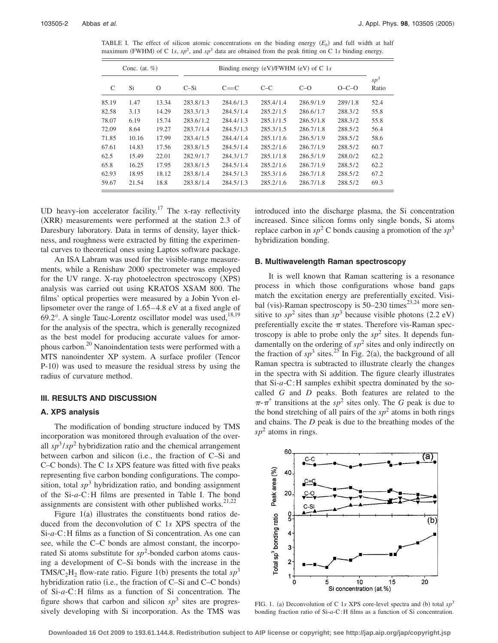TABLE I. The effect of silicon atomic concentrations on the binding energy  $(E_b)$  and full width at half maximum (FWHM) of C 1*s*, *sp*<sup>2</sup>, and *sp*<sup>3</sup> data are obtained from the peak fitting on C 1*s* binding energy.

| Conc. (at. $%$ ) |       |          | Binding energy $(eV)/FWHM$ $(eV)$ of C 1s |           |           |           |         |                 |
|------------------|-------|----------|-------------------------------------------|-----------|-----------|-----------|---------|-----------------|
| C                | Si    | $\Omega$ | $C-Si$                                    | $C = C$   | $C-C$     | $C-O$     | $O-C-O$ | $sp^3$<br>Ratio |
| 85.19            | 1.47  | 13.34    | 283.8/1.3                                 | 284.6/1.3 | 285.4/1.4 | 286.9/1.9 | 289/1.8 | 52.4            |
| 82.58            | 3.13  | 14.29    | 283.3/1.3                                 | 284.5/1.4 | 285.2/1.5 | 286.6/1.7 | 288.3/2 | 55.8            |
| 78.07            | 6.19  | 15.74    | 283.6/1.2                                 | 284.4/1.3 | 285.1/1.5 | 286.5/1.8 | 288.3/2 | 55.8            |
| 72.09            | 8.64  | 19.27    | 283.7/1.4                                 | 284.5/1.3 | 285.3/1.5 | 286.7/1.8 | 288.5/2 | 56.4            |
| 71.85            | 10.16 | 17.99    | 283.4/1.5                                 | 284.4/1.4 | 285.1/1.6 | 286.5/1.9 | 288.5/2 | 58.6            |
| 67.61            | 14.83 | 17.56    | 283.8/1.5                                 | 284.5/1.4 | 285.2/1.6 | 286.7/1.9 | 288.5/2 | 60.7            |
| 62.5             | 15.49 | 22.01    | 282.9/1.7                                 | 284.3/1.7 | 285.1/1.8 | 286.5/1.9 | 288.0/2 | 62.2            |
| 65.8             | 16.25 | 17.95    | 283.8/1.5                                 | 284.5/1.4 | 285.2/1.6 | 286.7/1.9 | 288.5/2 | 62.2            |
| 62.93            | 18.95 | 18.12    | 283.8/1.4                                 | 284.5/1.3 | 285.3/1.6 | 286.7/1.8 | 288.5/2 | 67.2            |
| 59.67            | 21.54 | 18.8     | 283.8/1.4                                 | 284.5/1.3 | 285.2/1.6 | 286.7/1.8 | 288.5/2 | 69.3            |

UD heavy-ion accelerator facility.<sup>17</sup> The x-ray reflectivity (XRR) measurements were performed at the station 2.3 of Daresbury laboratory. Data in terms of density, layer thickness, and roughness were extracted by fitting the experimental curves to theoretical ones using Laptos software package.

An ISA Labram was used for the visible-range measurements, while a Renishaw 2000 spectrometer was employed for the UV range. X-ray photoelectron spectroscopy (XPS) analysis was carried out using KRATOS XSAM 800. The films' optical properties were measured by a Jobin Yvon ellipsometer over the range of 1.65– 4.8 eV at a fixed angle of 69.2°. A single Tauc-Lorentz oscillator model was used, $18,19$ for the analysis of the spectra, which is generally recognized as the best model for producing accurate values for amorphous carbon.20 Nanoindentation tests were performed with a MTS nanoindenter XP system. A surface profiler (Tencor P-10) was used to measure the residual stress by using the radius of curvature method.

#### **III. RESULTS AND DISCUSSION**

### **A. XPS analysis**

The modification of bonding structure induced by TMS incorporation was monitored through evaluation of the overall  $sp^3/sp^2$  hybridization ratio and the chemical arrangement between carbon and silicon (i.e., the fraction of C–Si and C-C bonds). The C 1s XPS feature was fitted with five peaks representing five carbon bonding configurations. The composition, total  $sp<sup>3</sup>$  hybridization ratio, and bonding assignment of the Si-*a*-C:H films are presented in Table I. The bond assignments are consistent with other published works. $21,22$ 

Figure  $1(a)$  illustrates the constituents bond ratios deduced from the deconvolution of C 1*s* XPS spectra of the Si-*a*-C:H films as a function of Si concentration. As one can see, while the C–C bonds are almost constant, the incorporated Si atoms substitute for  $sp^2$ -bonded carbon atoms causing a development of C–Si bonds with the increase in the TMS/C<sub>2</sub>H<sub>2</sub> flow-rate ratio. Figure 1(b) presents the total  $sp^3$ hybridization ratio (i.e., the fraction of C–Si and C–C bonds) of Si-*a*-C:H films as a function of Si concentration. The figure shows that carbon and silicon  $sp^3$  sites are progressively developing with Si incorporation. As the TMS was introduced into the discharge plasma, the Si concentration increased. Since silicon forms only single bonds, Si atoms replace carbon in  $sp^2$  C bonds causing a promotion of the  $sp^3$ hybridization bonding.

#### **B. Multiwavelength Raman spectroscopy**

It is well known that Raman scattering is a resonance process in which those configurations whose band gaps match the excitation energy are preferentially excited. Visibal (vis)-Raman spectroscopy is  $50-230$  times<sup>23,24</sup> more sensitive to  $sp^2$  sites than  $sp^3$  because visible photons (2.2 eV) preferentially excite the  $\pi$  states. Therefore vis-Raman spectroscopy is able to probe only the  $sp^2$  sites. It depends fundamentally on the ordering of  $sp^2$  sites and only indirectly on the fraction of  $sp^3$  sites.<sup>25</sup> In Fig. 2(a), the background of all Raman spectra is subtracted to illustrate clearly the changes in the spectra with Si addition. The figure clearly illustrates that Si-*a*-C:H samples exhibit spectra dominated by the socalled *G* and *D* peaks. Both features are related to the  $\pi$ - $\pi$ <sup>\*</sup> transitions at the *sp*<sup>2</sup> sites only. The *G* peak is due to the bond stretching of all pairs of the  $sp<sup>2</sup>$  atoms in both rings and chains. The *D* peak is due to the breathing modes of the  $sp<sup>2</sup>$  atoms in rings.



FIG. 1. (a) Deconvolution of C 1s XPS core-level spectra and (b) total  $sp^3$ bonding fraction ratio of Si-*a*-C:H films as a function of Si concentration.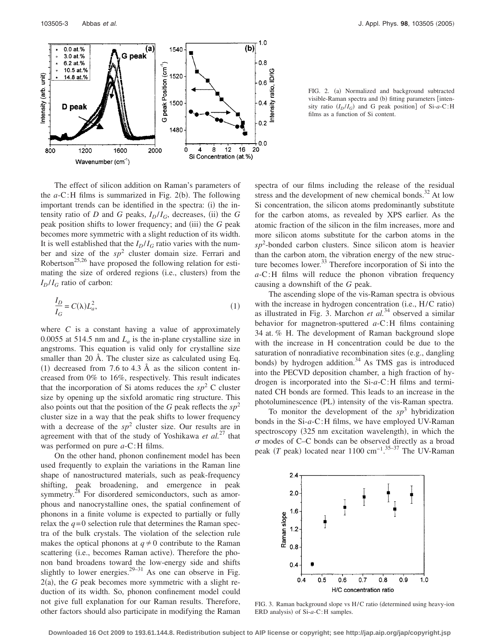

The effect of silicon addition on Raman's parameters of the  $a$ -C:H films is summarized in Fig. 2(b). The following important trends can be identified in the spectra: (i) the intensity ratio of  $D$  and  $G$  peaks,  $I_D/I_G$ , decreases, (ii) the  $G$ peak position shifts to lower frequency; and (iii) the *G* peak becomes more symmetric with a slight reduction of its width. It is well established that the  $I_D/I_G$  ratio varies with the number and size of the *sp*<sup>2</sup> cluster domain size. Ferrari and Robertson<sup>25,26</sup> have proposed the following relation for estimating the size of ordered regions (i.e., clusters) from the  $I_D/I_G$  ratio of carbon:

$$
\frac{I_D}{I_G} = C(\lambda)L_a^2,\tag{1}
$$

where  $C$  is a constant having a value of approximately 0.0055 at 514.5 nm and  $L_a$  is the in-plane crystalline size in angstroms. This equation is valid only for crystalline size smaller than 20 Å. The cluster size as calculated using Eq. (1) decreased from 7.6 to 4.3 Å as the silicon content increased from 0% to 16%, respectively. This result indicates that the incorporation of Si atoms reduces the  $sp<sup>2</sup>$  C cluster size by opening up the sixfold aromatic ring structure. This also points out that the position of the *G* peak reflects the  $sp^2$ cluster size in a way that the peak shifts to lower frequency with a decrease of the  $sp^2$  cluster size. Our results are in agreement with that of the study of Yoshikawa *et al.*<sup>27</sup> that was performed on pure *a*-C:H films.

On the other hand, phonon confinement model has been used frequently to explain the variations in the Raman line shape of nanostructured materials, such as peak-frequency shifting, peak broadening, and emergence in peak symmetry.<sup>28</sup> For disordered semiconductors, such as amorphous and nanocrystalline ones, the spatial confinement of phonons in a finite volume is expected to partially or fully relax the  $q=0$  selection rule that determines the Raman spectra of the bulk crystals. The violation of the selection rule makes the optical phonons at  $q \neq 0$  contribute to the Raman scattering (i.e., becomes Raman active). Therefore the phonon band broadens toward the low-energy side and shifts slightly to lower energies.<sup>29–31</sup> As one can observe in Fig.  $2(a)$ , the *G* peak becomes more symmetric with a slight reduction of its width. So, phonon confinement model could not give full explanation for our Raman results. Therefore, other factors should also participate in modifying the Raman

FIG. 2. (a) Normalized and background subtracted visible-Raman spectra and (b) fitting parameters [intensity ratio  $(I_D/I_G)$  and G peak position] of Si- $a$ -C:H films as a function of Si content.

spectra of our films including the release of the residual stress and the development of new chemical bonds. $32$  At low Si concentration, the silicon atoms predominantly substitute for the carbon atoms, as revealed by XPS earlier. As the atomic fraction of the silicon in the film increases, more and more silicon atoms substitute for the carbon atoms in the  $sp<sup>2</sup>$ -bonded carbon clusters. Since silicon atom is heavier than the carbon atom, the vibration energy of the new structure becomes lower. $33$  Therefore incorporation of Si into the *a*-C:H films will reduce the phonon vibration frequency causing a downshift of the *G* peak.

The ascending slope of the vis-Raman spectra is obvious with the increase in hydrogen concentration (i.e., H/C ratio) as illustrated in Fig. 3. Marchon *et al.*<sup>34</sup> observed a similar behavior for magnetron-sputtered *a*-C:H films containing 34 at. % H. The development of Raman background slope with the increase in H concentration could be due to the saturation of nonradiative recombination sites (e.g., dangling bonds) by hydrogen addition.<sup>34</sup> As TMS gas is introduced into the PECVD deposition chamber, a high fraction of hydrogen is incorporated into the Si-*a*-C:H films and terminated CH bonds are formed. This leads to an increase in the photoluminescence (PL) intensity of the vis-Raman spectra.

To monitor the development of the  $sp<sup>3</sup>$  hybridization bonds in the Si-*a*-C:H films, we have employed UV-Raman spectroscopy (325 nm excitation wavelength), in which the  $\sigma$  modes of C–C bonds can be observed directly as a broad peak (*T* peak) located near 1100 cm<sup>-1</sup>.<sup>35–37</sup> The UV-Raman



FIG. 3. Raman background slope vs H/C ratio (determined using heavy-ion ERD analysis) of Si-a-C:H samples.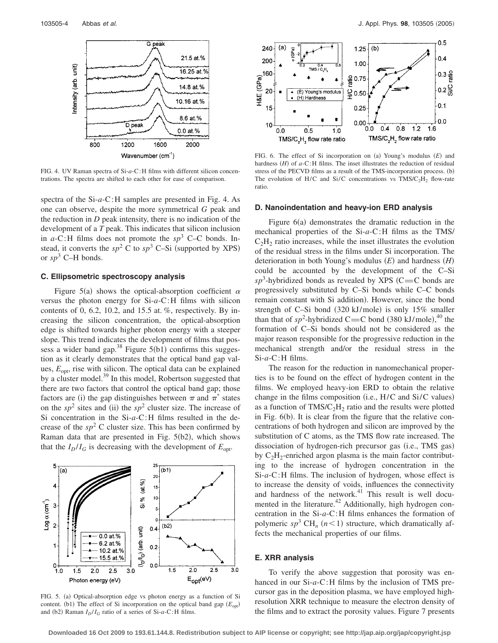

FIG. 4. UV Raman spectra of Si-*a*-C:H films with different silicon concentrations. The spectra are shifted to each other for ease of comparison.

spectra of the Si-*a*-C:H samples are presented in Fig. 4. As one can observe, despite the more symmetrical *G* peak and the reduction in *D* peak intensity, there is no indication of the development of a *T* peak. This indicates that silicon inclusion in *a*-C:H films does not promote the *sp*<sup>3</sup> C–C bonds. Instead, it converts the  $sp^2$  C to  $sp^3$  C–Si (supported by XPS) or  $sp^3$  C–H bonds.

#### **C. Ellipsometric spectroscopy analysis**

Figure 5(a) shows the optical-absorption coefficient  $\alpha$ versus the photon energy for Si-*a*-C:H films with silicon contents of 0, 6.2, 10.2, and 15.5 at.  $\%$ , respectively. By increasing the silicon concentration, the optical-absorption edge is shifted towards higher photon energy with a steeper slope. This trend indicates the development of films that possess a wider band gap.<sup>38</sup> Figure  $5(b1)$  confirms this suggestion as it clearly demonstrates that the optical band gap values,  $E_{\text{opt}}$ , rise with silicon. The optical data can be explained by a cluster model.<sup>39</sup> In this model, Robertson suggested that there are two factors that control the optical band gap; those factors are (i) the gap distinguishes between  $\pi$  and  $\pi^*$  states on the  $sp^2$  sites and (ii) the  $sp^2$  cluster size. The increase of Si concentration in the Si-*a*-C:H films resulted in the decrease of the  $sp^2$  C cluster size. This has been confirmed by Raman data that are presented in Fig.  $5(b2)$ , which shows that the  $I_D/I_G$  is decreasing with the development of  $E_{opt}$ .

#### 5  $\overline{(\mathsf{b1})}$  $\overline{(\mathsf{a})}$ 20  $(at. %)$ 4  $15$ % 10  $Log \alpha$  (cm<sup>-1</sup>)  $\bar{\sigma}$ 3 5  $(b2)$  $0.4$  $(I_D/I_G)$  (arb. unit)  $0.0$  at.% 6.2 at %  $0.2$ 10.2 at.% 15.5 at.% 0  $0.0$  $1.0$  $1.5$  $2.0$  $2.5$  $3.0$  $1.5$  $2.0$  $2.5$  $3.0$  $\mathsf{E}_{\mathsf{opt}}(\mathsf{e} \mathsf{V})$ Photon energy (eV)

ratio.

#### **D. Nanoindentation and heavy-ion ERD analysis**

Figure 6(a) demonstrates the dramatic reduction in the mechanical properties of the Si-*a*-C:H films as the TMS/  $C_2H_2$  ratio increases, while the inset illustrates the evolution of the residual stress in the films under Si incorporation. The deterioration in both Young's modulus (E) and hardness (H) could be accounted by the development of the C–Si  $sp^3$ -hybridized bonds as revealed by XPS (C=C bonds are progressively substituted by C–Si bonds while C–C bonds remain constant with Si addition). However, since the bond strength of C-Si bond (320 kJ/mole) is only 15% smaller than that of  $sp^2$ -hybridized C=C bond (380 kJ/mole),<sup>40</sup> the formation of C–Si bonds should not be considered as the major reason responsible for the progressive reduction in the mechanical strength and/or the residual stress in the Si-*a*-C:H films.

The reason for the reduction in nanomechanical properties is to be found on the effect of hydrogen content in the films. We employed heavy-ion ERD to obtain the relative change in the films composition (i.e., H/C and Si/C values) as a function of  $TMS/C<sub>2</sub>H<sub>2</sub>$  ratio and the results were plotted in Fig. 6(b). It is clear from the figure that the relative concentrations of both hydrogen and silicon are improved by the substitution of C atoms, as the TMS flow rate increased. The dissociation of hydrogen-rich precursor gas (i.e., TMS gas) by  $C_2H_2$ -enriched argon plasma is the main factor contributing to the increase of hydrogen concentration in the Si-*a*-C:H films. The inclusion of hydrogen, whose effect is to increase the density of voids, influences the connectivity and hardness of the network. $41$  This result is well documented in the literature.<sup>42</sup> Additionally, high hydrogen concentration in the Si-*a*-C:H films enhances the formation of polymeric  $sp^3$  CH<sub>n</sub>  $(n<1)$  structure, which dramatically affects the mechanical properties of our films.

#### **E. XRR analysis**

To verify the above suggestion that porosity was enhanced in our Si-*a*-C:H films by the inclusion of TMS precursor gas in the deposition plasma, we have employed highresolution XRR technique to measure the electron density of the films and to extract the porosity values. Figure 7 presents



FIG. 6. The effect of Si incorporation on (a) Young's modulus (E) and hardness  $(H)$  of  $a$ -C:H films. The inset illustrates the reduction of residual stress of the PECVD films as a result of the TMS-incorporation process. (b) The evolution of H/C and Si/C concentrations vs  $TMS/C<sub>2</sub>H<sub>2</sub>$  flow-rate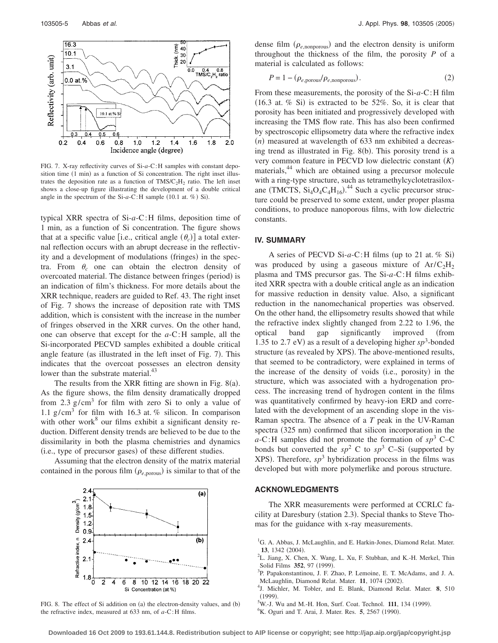

FIG. 7. X-ray reflectivity curves of Si-*a*-C:H samples with constant deposition time (1 min) as a function of Si concentration. The right inset illustrates the deposition rate as a function of  $TMS/C<sub>2</sub>H<sub>2</sub>$  ratio. The left inset shows a close-up figure illustrating the development of a double critical angle in the spectrum of the  $Si-a-C:H$  sample  $(10.1$  at.  $\%$ ) Si).

typical XRR spectra of Si-*a*-C:H films, deposition time of 1 min, as a function of Si concentration. The figure shows that at a specific value [i.e., critical angle  $(\theta_c)$ ] a total external reflection occurs with an abrupt decrease in the reflectivity and a development of modulations (fringes) in the spectra. From  $\theta_c$  one can obtain the electron density of overcoated material. The distance between fringes (period) is an indication of film's thickness. For more details about the XRR technique, readers are guided to Ref. 43. The right inset of Fig. 7 shows the increase of deposition rate with TMS addition, which is consistent with the increase in the number of fringes observed in the XRR curves. On the other hand, one can observe that except for the *a*-C:H sample, all the Si-incorporated PECVD samples exhibited a double critical angle feature (as illustrated in the left inset of Fig. 7). This indicates that the overcoat possesses an electron density lower than the substrate material.<sup>43</sup>

The results from the XRR fitting are shown in Fig.  $8(a)$ . As the figure shows, the film density dramatically dropped from 2.3  $g/cm<sup>3</sup>$  for film with zero Si to only a value of 1.1 g/cm<sup>3</sup> for film with 16.3 at. % silicon. In comparison with other work $8$  our films exhibit a significant density reduction. Different density trends are believed to be due to the dissimilarity in both the plasma chemistries and dynamics (i.e., type of precursor gases) of these different studies.

Assuming that the electron density of the matrix material contained in the porous film  $(\rho_{e,porous})$  is similar to that of the



FIG. 8. The effect of Si addition on (a) the electron-density values, and (b) the refractive index, measured at 633 nm, of *a*-C:H films.

dense film  $(\rho_{e,\text{nonporous}})$  and the electron density is uniform throughout the thickness of the film, the porosity *P* of a material is calculated as follows:

$$
P = 1 - (\rho_{e,\text{porous}}/\rho_{e,\text{nonporous}}). \tag{2}
$$

From these measurements, the porosity of the Si-*a*-C:H film  $(16.3$  at. % Si) is extracted to be 52%. So, it is clear that porosity has been initiated and progressively developed with increasing the TMS flow rate. This has also been confirmed by spectroscopic ellipsometry data where the refractive index  $(n)$  measured at wavelength of  $633$  nm exhibited a decreasing trend as illustrated in Fig. 8(b). This porosity trend is a very common feature in PECVD low dielectric constant *K* materials,<sup>44</sup> which are obtained using a precursor molecule with a ring-type structure, such as tetramethylcyclotetrasiloxane (TMCTS,  $Si_4O_4C_4H_{16}$ ).<sup>44</sup> Such a cyclic precursor structure could be preserved to some extent, under proper plasma conditions, to produce nanoporous films, with low dielectric constants.

## **IV. SUMMARY**

A series of PECVD Si-a-C:H films (up to 21 at. % Si) was produced by using a gaseous mixture of  $Ar/C<sub>2</sub>H<sub>2</sub>$ plasma and TMS precursor gas. The Si-*a*-C:H films exhibited XRR spectra with a double critical angle as an indication for massive reduction in density value. Also, a significant reduction in the nanomechanical properties was observed. On the other hand, the ellipsometry results showed that while the refractive index slightly changed from 2.22 to 1.96, the optical band gap significantly improved from 1.35 to 2.7 eV) as a result of a developing higher  $sp^3$ -bonded structure (as revealed by XPS). The above-mentioned results, that seemed to be contradictory, were explained in terms of the increase of the density of voids (i.e., porosity) in the structure, which was associated with a hydrogenation process. The increasing trend of hydrogen content in the films was quantitatively confirmed by heavy-ion ERD and correlated with the development of an ascending slope in the vis-Raman spectra. The absence of a *T* peak in the UV-Raman spectra (325 nm) confirmed that silicon incorporation in the  $a$ -C:H samples did not promote the formation of  $sp^3$  C–C bonds but converted the  $sp^2$  C to  $sp^3$  C–Si (supported by XPS). Therefore,  $sp^3$  hybridization process in the films was developed but with more polymerlike and porous structure.

#### **ACKNOWLEDGMENTS**

The XRR measurements were performed at CCRLC facility at Daresbury (station 2.3). Special thanks to Steve Thomas for the guidance with x-ray measurements.

- $^{5}$ W.-J. Wu and M.-H. Hon, Surf. Coat. Technol. **111**, 134 (1999).
- K. Oguri and T. Arai, J. Mater. Res. 5, 2567 (1990).

<sup>&</sup>lt;sup>1</sup>G. A. Abbas, J. McLaughlin, and E. Harkin-Jones, Diamond Relat. Mater. **13**, 1342 (2004).

 ${}^{2}$ L. Jiang, X. Chen, X. Wang, L. Xu, F. Stubhan, and K.-H. Merkel, Thin Solid Films **352**, 97 (1999).

<sup>&</sup>lt;sup>3</sup>P. Papakonstantinou, J. F. Zhao, P. Lemoine, E. T. McAdams, and J. A. McLaughlin, Diamond Relat. Mater. **11**, 1074 (2002).

<sup>&</sup>lt;sup>4</sup>J. Michler, M. Tobler, and E. Blank, Diamond Relat. Mater. 8, 510  $(1999)$ .<br> $5W + W$